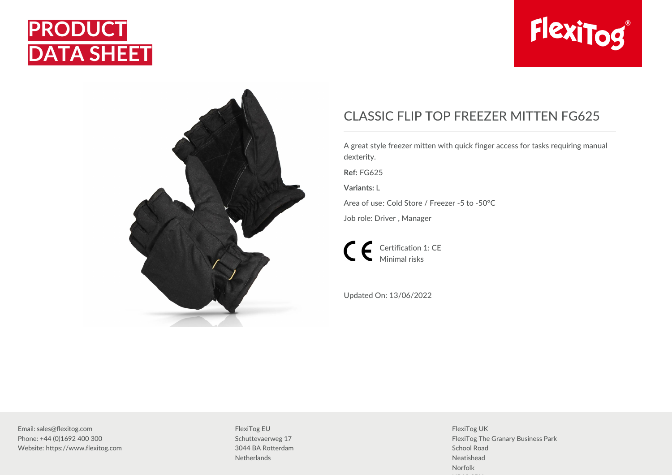





## CLASSIC FLIP TOP FREEZER MITTEN FG625

A great style freezer mitten with quick finger access for tasks requiring manual dexterity.

**Ref:** FG625

**Variants:** L

Area of use: Cold Store / Freezer -5 to -50°C

Job role: Driver , Manager

Certification 1: CE Minimal risks

Updated On: 13/06/2022

Email: sales@flexitog.com Phone: +44 (0)1692 400 300 Website: https://www.flexitog.com

FlexiTog EU Schuttevaerweg 17 3044 BA Rotterdam **Netherlands** 

FlexiTog UK FlexiTog The Granary Business Park School Road Neatishead Norfolk